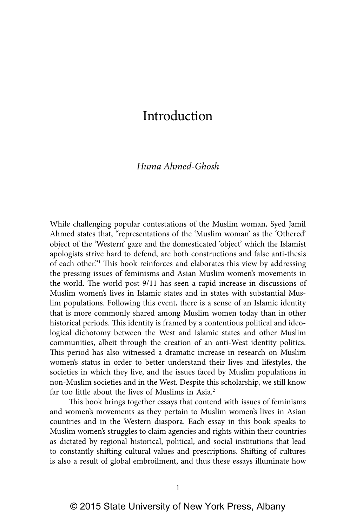# *Huma Ahmed-Ghosh*

While challenging popular contestations of the Muslim woman, Syed Jamil Ahmed states that, "representations of the 'Muslim woman' as the 'Othered' object of the 'Western' gaze and the domesticated 'object' which the Islamist apologists strive hard to defend, are both constructions and false anti-thesis of each other." This book reinforces and elaborates this view by addressing the pressing issues of feminisms and Asian Muslim women's movements in the world. The world post-9/11 has seen a rapid increase in discussions of Muslim women's lives in Islamic states and in states with substantial Muslim populations. Following this event, there is a sense of an Islamic identity that is more commonly shared among Muslim women today than in other historical periods. This identity is framed by a contentious political and ideological dichotomy between the West and Islamic states and other Muslim communities, albeit through the creation of an anti-West identity politics. This period has also witnessed a dramatic increase in research on Muslim women's status in order to better understand their lives and lifestyles, the societies in which they live, and the issues faced by Muslim populations in non-Muslim societies and in the West. Despite this scholarship, we still know far too little about the lives of Muslims in Asia.<sup>2</sup>

This book brings together essays that contend with issues of feminisms and women's movements as they pertain to Muslim women's lives in Asian countries and in the Western diaspora. Each essay in this book speaks to Muslim women's struggles to claim agencies and rights within their countries as dictated by regional historical, political, and social institutions that lead to constantly shifting cultural values and prescriptions. Shifting of cultures is also a result of global embroilment, and thus these essays illuminate how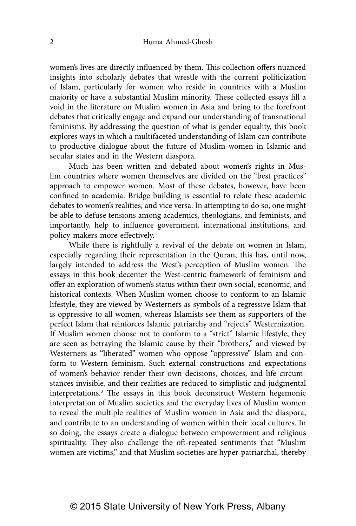women's lives are directly influenced by them. This collection offers nuanced insights into scholarly debates that wrestle with the current politicization of Islam, particularly for women who reside in countries with a Muslim majority or have a substantial Muslim minority. These collected essays fill a void in the literature on Muslim women in Asia and bring to the forefront debates that critically engage and expand our understanding of transnational feminisms. By addressing the question of what is gender equality, this book explores ways in which a multifaceted understanding of Islam can contribute to productive dialogue about the future of Muslim women in Islamic and secular states and in the Western diaspora.

Much has been written and debated about women's rights in Muslim countries where women themselves are divided on the "best practices" approach to empower women. Most of these debates, however, have been confined to academia. Bridge building is essential to relate these academic debates to women's realities, and vice versa. In attempting to do so, one might be able to defuse tensions among academics, theologians, and feminists, and importantly, help to influence government, international institutions, and policy makers more effectively.

While there is rightfully a revival of the debate on women in Islam, especially regarding their representation in the Quran, this has, until now, largely intended to address the West's perception of Muslim women. The essays in this book decenter the West-centric framework of feminism and offer an exploration of women's status within their own social, economic, and historical contexts. When Muslim women choose to conform to an Islamic lifestyle, they are viewed by Westerners as symbols of a regressive Islam that is oppressive to all women, whereas Islamists see them as supporters of the perfect Islam that reinforces Islamic patriarchy and "rejects" Westernization. If Muslim women choose not to conform to a "strict" Islamic lifestyle, they are seen as betraying the Islamic cause by their "brothers," and viewed by Westerners as "liberated" women who oppose "oppressive" Islam and conform to Western feminism. Such external constructions and expectations of women's behavior render their own decisions, choices, and life circumstances invisible, and their realities are reduced to simplistic and judgmental interpretations.3 The essays in this book deconstruct Western hegemonic interpretation of Muslim societies and the everyday lives of Muslim women to reveal the multiple realities of Muslim women in Asia and the diaspora, and contribute to an understanding of women within their local cultures. In so doing, the essays create a dialogue between empowerment and religious spirituality. They also challenge the oft-repeated sentiments that "Muslim women are victims," and that Muslim societies are hyper-patriarchal, thereby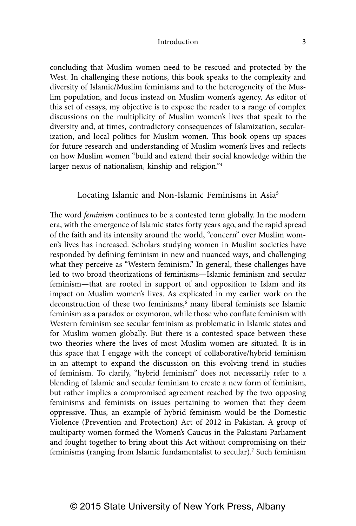concluding that Muslim women need to be rescued and protected by the West. In challenging these notions, this book speaks to the complexity and diversity of Islamic/Muslim feminisms and to the heterogeneity of the Muslim population, and focus instead on Muslim women's agency. As editor of this set of essays, my objective is to expose the reader to a range of complex discussions on the multiplicity of Muslim women's lives that speak to the diversity and, at times, contradictory consequences of Islamization, secularization, and local politics for Muslim women. This book opens up spaces for future research and understanding of Muslim women's lives and reflects on how Muslim women "build and extend their social knowledge within the larger nexus of nationalism, kinship and religion."4

# Locating Islamic and Non-Islamic Feminisms in Asia<sup>5</sup>

The word *feminism* continues to be a contested term globally. In the modern era, with the emergence of Islamic states forty years ago, and the rapid spread of the faith and its intensity around the world, "concern" over Muslim women's lives has increased. Scholars studying women in Muslim societies have responded by defining feminism in new and nuanced ways, and challenging what they perceive as "Western feminism." In general, these challenges have led to two broad theorizations of feminisms—Islamic feminism and secular feminism—that are rooted in support of and opposition to Islam and its impact on Muslim women's lives. As explicated in my earlier work on the deconstruction of these two feminisms,<sup>6</sup> many liberal feminists see Islamic feminism as a paradox or oxymoron, while those who conflate feminism with Western feminism see secular feminism as problematic in Islamic states and for Muslim women globally. But there is a contested space between these two theories where the lives of most Muslim women are situated. It is in this space that I engage with the concept of collaborative/hybrid feminism in an attempt to expand the discussion on this evolving trend in studies of feminism. To clarify, "hybrid feminism" does not necessarily refer to a blending of Islamic and secular feminism to create a new form of feminism, but rather implies a compromised agreement reached by the two opposing feminisms and feminists on issues pertaining to women that they deem oppressive. Thus, an example of hybrid feminism would be the Domestic Violence (Prevention and Protection) Act of 2012 in Pakistan. A group of multiparty women formed the Women's Caucus in the Pakistani Parliament and fought together to bring about this Act without compromising on their feminisms (ranging from Islamic fundamentalist to secular).<sup>7</sup> Such feminism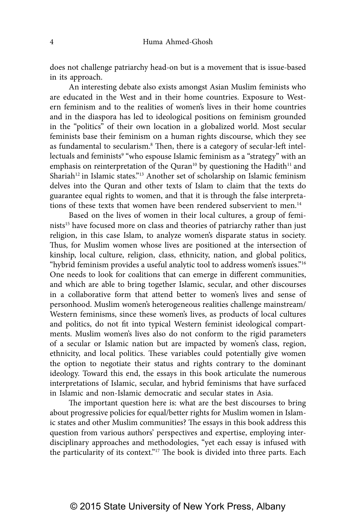does not challenge patriarchy head-on but is a movement that is issue-based in its approach.

An interesting debate also exists amongst Asian Muslim feminists who are educated in the West and in their home countries. Exposure to Western feminism and to the realities of women's lives in their home countries and in the diaspora has led to ideological positions on feminism grounded in the "politics" of their own location in a globalized world. Most secular feminists base their feminism on a human rights discourse, which they see as fundamental to secularism.<sup>8</sup> Then, there is a category of secular-left intellectuals and feminists<sup>9</sup> "who espouse Islamic feminism as a "strategy" with an emphasis on reinterpretation of the Quran<sup>10</sup> by questioning the Hadith<sup>11</sup> and Shariah<sup>12</sup> in Islamic states."<sup>13</sup> Another set of scholarship on Islamic feminism delves into the Quran and other texts of Islam to claim that the texts do guarantee equal rights to women, and that it is through the false interpretations of these texts that women have been rendered subservient to men.<sup>14</sup>

Based on the lives of women in their local cultures, a group of feminists<sup>15</sup> have focused more on class and theories of patriarchy rather than just religion, in this case Islam, to analyze women's disparate status in society. Thus, for Muslim women whose lives are positioned at the intersection of kinship, local culture, religion, class, ethnicity, nation, and global politics, "hybrid feminism provides a useful analytic tool to address women's issues."16 One needs to look for coalitions that can emerge in different communities, and which are able to bring together Islamic, secular, and other discourses in a collaborative form that attend better to women's lives and sense of personhood. Muslim women's heterogeneous realities challenge mainstream/ Western feminisms, since these women's lives, as products of local cultures and politics, do not fit into typical Western feminist ideological compartments. Muslim women's lives also do not conform to the rigid parameters of a secular or Islamic nation but are impacted by women's class, region, ethnicity, and local politics. These variables could potentially give women the option to negotiate their status and rights contrary to the dominant ideology. Toward this end, the essays in this book articulate the numerous interpretations of Islamic, secular, and hybrid feminisms that have surfaced in Islamic and non-Islamic democratic and secular states in Asia.

The important question here is: what are the best discourses to bring about progressive policies for equal/better rights for Muslim women in Islamic states and other Muslim communities? The essays in this book address this question from various authors' perspectives and expertise, employing interdisciplinary approaches and methodologies, "yet each essay is infused with the particularity of its context."<sup>17</sup> The book is divided into three parts. Each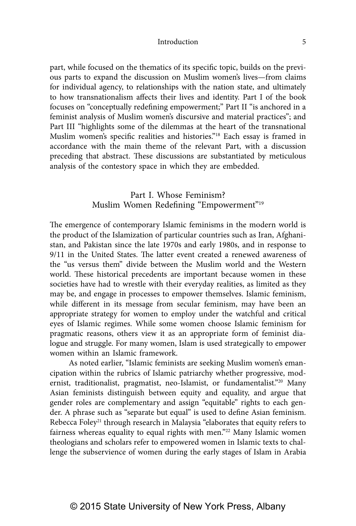part, while focused on the thematics of its specific topic, builds on the previous parts to expand the discussion on Muslim women's lives—from claims for individual agency, to relationships with the nation state, and ultimately to how transnationalism affects their lives and identity. Part I of the book focuses on "conceptually redefining empowerment;" Part II "is anchored in a feminist analysis of Muslim women's discursive and material practices"; and Part III "highlights some of the dilemmas at the heart of the transnational Muslim women's specific realities and histories."18 Each essay is framed in accordance with the main theme of the relevant Part, with a discussion preceding that abstract. These discussions are substantiated by meticulous analysis of the contestory space in which they are embedded.

## Part I. Whose Feminism? Muslim Women Redefining "Empowerment"19

The emergence of contemporary Islamic feminisms in the modern world is the product of the Islamization of particular countries such as Iran, Afghanistan, and Pakistan since the late 1970s and early 1980s, and in response to 9/11 in the United States. The latter event created a renewed awareness of the "us versus them" divide between the Muslim world and the Western world. These historical precedents are important because women in these societies have had to wrestle with their everyday realities, as limited as they may be, and engage in processes to empower themselves. Islamic feminism, while different in its message from secular feminism, may have been an appropriate strategy for women to employ under the watchful and critical eyes of Islamic regimes. While some women choose Islamic feminism for pragmatic reasons, others view it as an appropriate form of feminist dialogue and struggle. For many women, Islam is used strategically to empower women within an Islamic framework.

As noted earlier, "Islamic feminists are seeking Muslim women's emancipation within the rubrics of Islamic patriarchy whether progressive, modernist, traditionalist, pragmatist, neo-Islamist, or fundamentalist."20 Many Asian feminists distinguish between equity and equality, and argue that gender roles are complementary and assign "equitable" rights to each gender. A phrase such as "separate but equal" is used to define Asian feminism. Rebecca Foley<sup>21</sup> through research in Malaysia "elaborates that equity refers to fairness whereas equality to equal rights with men."<sup>22</sup> Many Islamic women theologians and scholars refer to empowered women in Islamic texts to challenge the subservience of women during the early stages of Islam in Arabia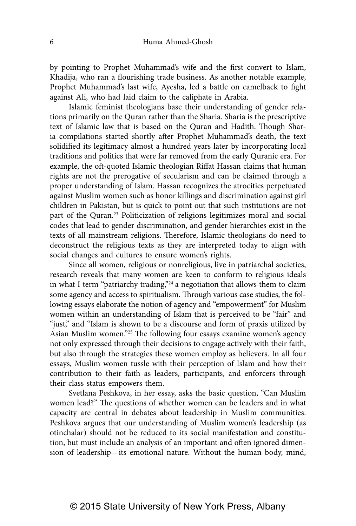by pointing to Prophet Muhammad's wife and the first convert to Islam, Khadija, who ran a flourishing trade business. As another notable example, Prophet Muhammad's last wife, Ayesha, led a battle on camelback to fight against Ali, who had laid claim to the caliphate in Arabia.

Islamic feminist theologians base their understanding of gender relations primarily on the Quran rather than the Sharia. Sharia is the prescriptive text of Islamic law that is based on the Quran and Hadith. Though Sharia compilations started shortly after Prophet Muhammad's death, the text solidified its legitimacy almost a hundred years later by incorporating local traditions and politics that were far removed from the early Quranic era. For example, the oft-quoted Islamic theologian Riffat Hassan claims that human rights are not the prerogative of secularism and can be claimed through a proper understanding of Islam. Hassan recognizes the atrocities perpetuated against Muslim women such as honor killings and discrimination against girl children in Pakistan, but is quick to point out that such institutions are not part of the Quran.<sup>23</sup> Politicization of religions legitimizes moral and social codes that lead to gender discrimination, and gender hierarchies exist in the texts of all mainstream religions. Therefore, Islamic theologians do need to deconstruct the religious texts as they are interpreted today to align with social changes and cultures to ensure women's rights.

Since all women, religious or nonreligious, live in patriarchal societies, research reveals that many women are keen to conform to religious ideals in what I term "patriarchy trading,"<sup>24</sup> a negotiation that allows them to claim some agency and access to spiritualism. Through various case studies, the following essays elaborate the notion of agency and "empowerment" for Muslim women within an understanding of Islam that is perceived to be "fair" and "just," and "Islam is shown to be a discourse and form of praxis utilized by Asian Muslim women."25 The following four essays examine women's agency not only expressed through their decisions to engage actively with their faith, but also through the strategies these women employ as believers. In all four essays, Muslim women tussle with their perception of Islam and how their contribution to their faith as leaders, participants, and enforcers through their class status empowers them.

Svetlana Peshkova, in her essay, asks the basic question, "Can Muslim women lead?" The questions of whether women can be leaders and in what capacity are central in debates about leadership in Muslim communities. Peshkova argues that our understanding of Muslim women's leadership (as otinchalar) should not be reduced to its social manifestation and constitution, but must include an analysis of an important and often ignored dimension of leadership—its emotional nature. Without the human body, mind,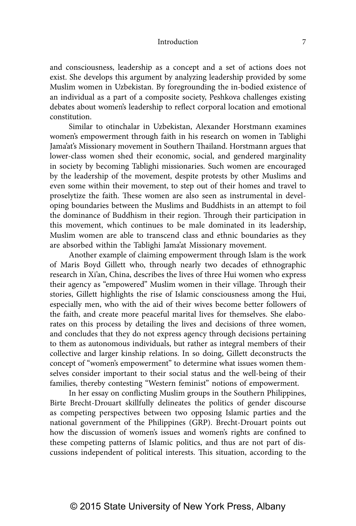and consciousness, leadership as a concept and a set of actions does not exist. She develops this argument by analyzing leadership provided by some Muslim women in Uzbekistan. By foregrounding the in-bodied existence of an individual as a part of a composite society, Peshkova challenges existing debates about women's leadership to reflect corporal location and emotional constitution.

Similar to otinchalar in Uzbekistan, Alexander Horstmann examines women's empowerment through faith in his research on women in Tablighi Jama'at's Missionary movement in Southern Thailand. Horstmann argues that lower-class women shed their economic, social, and gendered marginality in society by becoming Tablighi missionaries. Such women are encouraged by the leadership of the movement, despite protests by other Muslims and even some within their movement, to step out of their homes and travel to proselytize the faith. These women are also seen as instrumental in developing boundaries between the Muslims and Buddhists in an attempt to foil the dominance of Buddhism in their region. Through their participation in this movement, which continues to be male dominated in its leadership, Muslim women are able to transcend class and ethnic boundaries as they are absorbed within the Tablighi Jama'at Missionary movement.

Another example of claiming empowerment through Islam is the work of Maris Boyd Gillett who, through nearly two decades of ethnographic research in Xi'an, China, describes the lives of three Hui women who express their agency as "empowered" Muslim women in their village. Through their stories, Gillett highlights the rise of Islamic consciousness among the Hui, especially men, who with the aid of their wives become better followers of the faith, and create more peaceful marital lives for themselves. She elaborates on this process by detailing the lives and decisions of three women, and concludes that they do not express agency through decisions pertaining to them as autonomous individuals, but rather as integral members of their collective and larger kinship relations. In so doing, Gillett deconstructs the concept of "women's empowerment" to determine what issues women themselves consider important to their social status and the well-being of their families, thereby contesting "Western feminist" notions of empowerment.

In her essay on conflicting Muslim groups in the Southern Philippines, Birte Brecht-Drouart skillfully delineates the politics of gender discourse as competing perspectives between two opposing Islamic parties and the national government of the Philippines (GRP). Brecht-Drouart points out how the discussion of women's issues and women's rights are confined to these competing patterns of Islamic politics, and thus are not part of discussions independent of political interests. This situation, according to the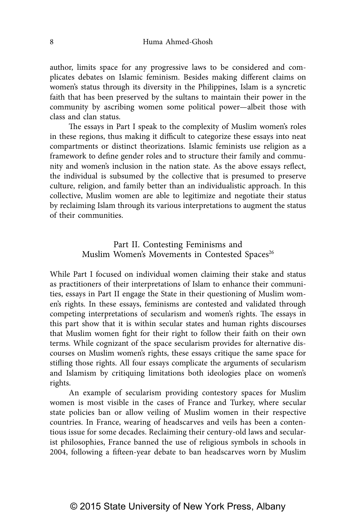author, limits space for any progressive laws to be considered and complicates debates on Islamic feminism. Besides making different claims on women's status through its diversity in the Philippines, Islam is a syncretic faith that has been preserved by the sultans to maintain their power in the community by ascribing women some political power—albeit those with class and clan status.

The essays in Part I speak to the complexity of Muslim women's roles in these regions, thus making it difficult to categorize these essays into neat compartments or distinct theorizations. Islamic feminists use religion as a framework to define gender roles and to structure their family and community and women's inclusion in the nation state. As the above essays reflect, the individual is subsumed by the collective that is presumed to preserve culture, religion, and family better than an individualistic approach. In this collective, Muslim women are able to legitimize and negotiate their status by reclaiming Islam through its various interpretations to augment the status of their communities.

## Part II. Contesting Feminisms and Muslim Women's Movements in Contested Spaces<sup>26</sup>

While Part I focused on individual women claiming their stake and status as practitioners of their interpretations of Islam to enhance their communities, essays in Part II engage the State in their questioning of Muslim women's rights. In these essays, feminisms are contested and validated through competing interpretations of secularism and women's rights. The essays in this part show that it is within secular states and human rights discourses that Muslim women fight for their right to follow their faith on their own terms. While cognizant of the space secularism provides for alternative discourses on Muslim women's rights, these essays critique the same space for stifling those rights. All four essays complicate the arguments of secularism and Islamism by critiquing limitations both ideologies place on women's rights.

An example of secularism providing contestory spaces for Muslim women is most visible in the cases of France and Turkey, where secular state policies ban or allow veiling of Muslim women in their respective countries. In France, wearing of headscarves and veils has been a contentious issue for some decades. Reclaiming their century-old laws and secularist philosophies, France banned the use of religious symbols in schools in 2004, following a fifteen-year debate to ban headscarves worn by Muslim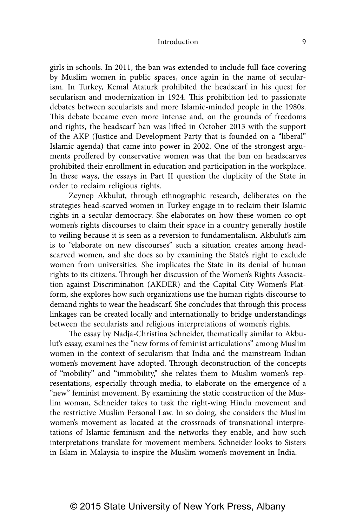girls in schools. In 2011, the ban was extended to include full-face covering by Muslim women in public spaces, once again in the name of secularism. In Turkey, Kemal Ataturk prohibited the headscarf in his quest for secularism and modernization in 1924. This prohibition led to passionate debates between secularists and more Islamic-minded people in the 1980s. This debate became even more intense and, on the grounds of freedoms and rights, the headscarf ban was lifted in October 2013 with the support of the AKP (Justice and Development Party that is founded on a "liberal" Islamic agenda) that came into power in 2002. One of the strongest arguments proffered by conservative women was that the ban on headscarves prohibited their enrollment in education and participation in the workplace. In these ways, the essays in Part II question the duplicity of the State in order to reclaim religious rights.

Zeynep Akbulut, through ethnographic research, deliberates on the strategies head-scarved women in Turkey engage in to reclaim their Islamic rights in a secular democracy. She elaborates on how these women co-opt women's rights discourses to claim their space in a country generally hostile to veiling because it is seen as a reversion to fundamentalism. Akbulut's aim is to "elaborate on new discourses" such a situation creates among headscarved women, and she does so by examining the State's right to exclude women from universities. She implicates the State in its denial of human rights to its citizens. Through her discussion of the Women's Rights Association against Discrimination (AKDER) and the Capital City Women's Platform, she explores how such organizations use the human rights discourse to demand rights to wear the headscarf. She concludes that through this process linkages can be created locally and internationally to bridge understandings between the secularists and religious interpretations of women's rights.

The essay by Nadja-Christina Schneider, thematically similar to Akbulut's essay, examines the "new forms of feminist articulations" among Muslim women in the context of secularism that India and the mainstream Indian women's movement have adopted. Through deconstruction of the concepts of "mobility" and "immobility," she relates them to Muslim women's representations, especially through media, to elaborate on the emergence of a "new" feminist movement. By examining the static construction of the Muslim woman, Schneider takes to task the right-wing Hindu movement and the restrictive Muslim Personal Law. In so doing, she considers the Muslim women's movement as located at the crossroads of transnational interpretations of Islamic feminism and the networks they enable, and how such interpretations translate for movement members. Schneider looks to Sisters in Islam in Malaysia to inspire the Muslim women's movement in India.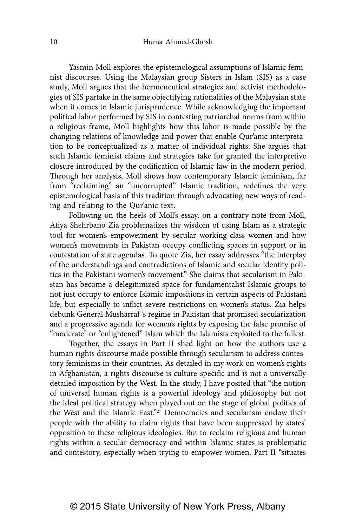Yasmin Moll explores the epistemological assumptions of Islamic feminist discourses. Using the Malaysian group Sisters in Islam (SIS) as a case study, Moll argues that the hermeneutical strategies and activist methodologies of SIS partake in the same objectifying rationalities of the Malaysian state when it comes to Islamic jurisprudence. While acknowledging the important political labor performed by SIS in contesting patriarchal norms from within a religious frame, Moll highlights how this labor is made possible by the changing relations of knowledge and power that enable Qur'anic interpretation to be conceptualized as a matter of individual rights. She argues that such Islamic feminist claims and strategies take for granted the interpretive closure introduced by the codification of Islamic law in the modern period. Through her analysis, Moll shows how contemporary Islamic feminism, far from "reclaiming" an "uncorrupted" Islamic tradition, redefines the very epistemological basis of this tradition through advocating new ways of reading and relating to the Qur'anic text.

Following on the heels of Moll's essay, on a contrary note from Moll, Afiya Shehrbano Zia problematizes the wisdom of using Islam as a strategic tool for women's empowerment by secular working-class women and how women's movements in Pakistan occupy conflicting spaces in support or in contestation of state agendas. To quote Zia, her essay addresses "the interplay of the understandings and contradictions of Islamic and secular identity politics in the Pakistani women's movement." She claims that secularism in Pakistan has become a delegitimized space for fundamentalist Islamic groups to not just occupy to enforce Islamic impositions in certain aspects of Pakistani life, but especially to inflict severe restrictions on women's status. Zia helps debunk General Musharraf 's regime in Pakistan that promised secularization and a progressive agenda for women's rights by exposing the false promise of "moderate" or "enlightened" Islam which the Islamists exploited to the fullest.

Together, the essays in Part II shed light on how the authors use a human rights discourse made possible through secularism to address contestory feminisms in their countries. As detailed in my work on women's rights in Afghanistan, a rights discourse is culture-specific and is not a universally detailed imposition by the West. In the study, I have posited that "the notion of universal human rights is a powerful ideology and philosophy but not the ideal political strategy when played out on the stage of global politics of the West and the Islamic East."<sup>27</sup> Democracies and secularism endow their people with the ability to claim rights that have been suppressed by states' opposition to these religious ideologies. But to reclaim religious and human rights within a secular democracy and within Islamic states is problematic and contestory, especially when trying to empower women. Part II "situates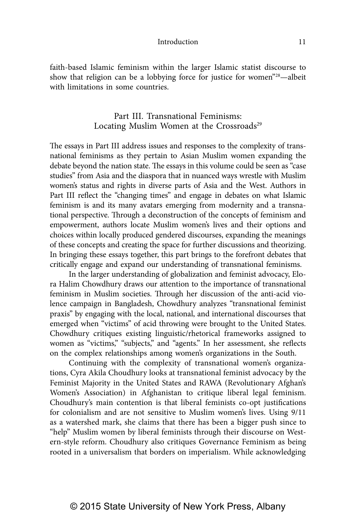faith-based Islamic feminism within the larger Islamic statist discourse to show that religion can be a lobbying force for justice for women"28—albeit with limitations in some countries.

# Part III. Transnational Feminisms: Locating Muslim Women at the Crossroads<sup>29</sup>

The essays in Part III address issues and responses to the complexity of transnational feminisms as they pertain to Asian Muslim women expanding the debate beyond the nation state. The essays in this volume could be seen as "case studies" from Asia and the diaspora that in nuanced ways wrestle with Muslim women's status and rights in diverse parts of Asia and the West. Authors in Part III reflect the "changing times" and engage in debates on what Islamic feminism is and its many avatars emerging from modernity and a transnational perspective. Through a deconstruction of the concepts of feminism and empowerment, authors locate Muslim women's lives and their options and choices within locally produced gendered discourses, expanding the meanings of these concepts and creating the space for further discussions and theorizing. In bringing these essays together, this part brings to the forefront debates that critically engage and expand our understanding of transnational feminisms.

In the larger understanding of globalization and feminist advocacy, Elora Halim Chowdhury draws our attention to the importance of transnational feminism in Muslim societies. Through her discussion of the anti-acid violence campaign in Bangladesh, Chowdhury analyzes "transnational feminist praxis" by engaging with the local, national, and international discourses that emerged when "victims" of acid throwing were brought to the United States. Chowdhury critiques existing linguistic/rhetorical frameworks assigned to women as "victims," "subjects," and "agents." In her assessment, she reflects on the complex relationships among women's organizations in the South.

Continuing with the complexity of transnational women's organizations, Cyra Akila Choudhury looks at transnational feminist advocacy by the Feminist Majority in the United States and RAWA (Revolutionary Afghan's Women's Association) in Afghanistan to critique liberal legal feminism. Choudhury's main contention is that liberal feminists co-opt justifications for colonialism and are not sensitive to Muslim women's lives. Using 9/11 as a watershed mark, she claims that there has been a bigger push since to "help" Muslim women by liberal feminists through their discourse on Western-style reform. Choudhury also critiques Governance Feminism as being rooted in a universalism that borders on imperialism. While acknowledging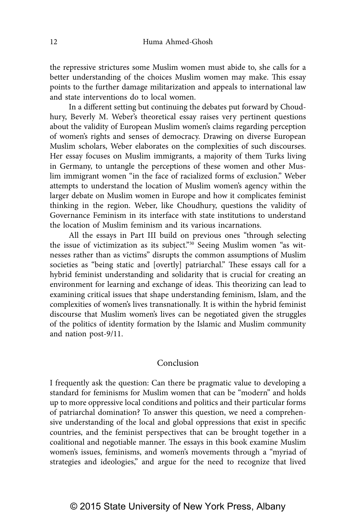the repressive strictures some Muslim women must abide to, she calls for a better understanding of the choices Muslim women may make. This essay points to the further damage militarization and appeals to international law and state interventions do to local women.

In a different setting but continuing the debates put forward by Choudhury, Beverly M. Weber's theoretical essay raises very pertinent questions about the validity of European Muslim women's claims regarding perception of women's rights and senses of democracy. Drawing on diverse European Muslim scholars, Weber elaborates on the complexities of such discourses. Her essay focuses on Muslim immigrants, a majority of them Turks living in Germany, to untangle the perceptions of these women and other Muslim immigrant women "in the face of racialized forms of exclusion." Weber attempts to understand the location of Muslim women's agency within the larger debate on Muslim women in Europe and how it complicates feminist thinking in the region. Weber, like Choudhury, questions the validity of Governance Feminism in its interface with state institutions to understand the location of Muslim feminism and its various incarnations.

All the essays in Part III build on previous ones "through selecting the issue of victimization as its subject."<sup>30</sup> Seeing Muslim women "as witnesses rather than as victims" disrupts the common assumptions of Muslim societies as "being static and [overtly] patriarchal." These essays call for a hybrid feminist understanding and solidarity that is crucial for creating an environment for learning and exchange of ideas. This theorizing can lead to examining critical issues that shape understanding feminism, Islam, and the complexities of women's lives transnationally. It is within the hybrid feminist discourse that Muslim women's lives can be negotiated given the struggles of the politics of identity formation by the Islamic and Muslim community and nation post-9/11.

## Conclusion

I frequently ask the question: Can there be pragmatic value to developing a standard for feminisms for Muslim women that can be "modern" and holds up to more oppressive local conditions and politics and their particular forms of patriarchal domination? To answer this question, we need a comprehensive understanding of the local and global oppressions that exist in specific countries, and the feminist perspectives that can be brought together in a coalitional and negotiable manner. The essays in this book examine Muslim women's issues, feminisms, and women's movements through a "myriad of strategies and ideologies," and argue for the need to recognize that lived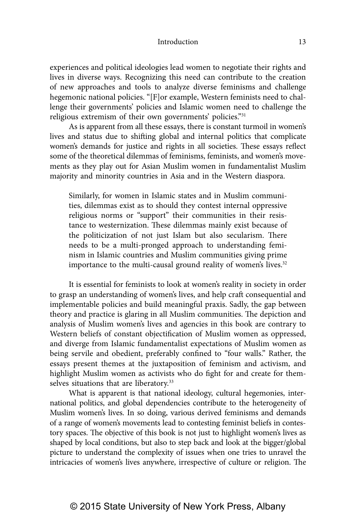experiences and political ideologies lead women to negotiate their rights and lives in diverse ways. Recognizing this need can contribute to the creation of new approaches and tools to analyze diverse feminisms and challenge hegemonic national policies. "[F]or example, Western feminists need to challenge their governments' policies and Islamic women need to challenge the religious extremism of their own governments' policies."31

As is apparent from all these essays, there is constant turmoil in women's lives and status due to shifting global and internal politics that complicate women's demands for justice and rights in all societies. These essays reflect some of the theoretical dilemmas of feminisms, feminists, and women's movements as they play out for Asian Muslim women in fundamentalist Muslim majority and minority countries in Asia and in the Western diaspora.

Similarly, for women in Islamic states and in Muslim communities, dilemmas exist as to should they contest internal oppressive religious norms or "support" their communities in their resistance to westernization. These dilemmas mainly exist because of the politicization of not just Islam but also secularism. There needs to be a multi-pronged approach to understanding feminism in Islamic countries and Muslim communities giving prime importance to the multi-causal ground reality of women's lives.<sup>32</sup>

It is essential for feminists to look at women's reality in society in order to grasp an understanding of women's lives, and help craft consequential and implementable policies and build meaningful praxis. Sadly, the gap between theory and practice is glaring in all Muslim communities. The depiction and analysis of Muslim women's lives and agencies in this book are contrary to Western beliefs of constant objectification of Muslim women as oppressed, and diverge from Islamic fundamentalist expectations of Muslim women as being servile and obedient, preferably confined to "four walls." Rather, the essays present themes at the juxtaposition of feminism and activism, and highlight Muslim women as activists who do fight for and create for themselves situations that are liberatory.<sup>33</sup>

What is apparent is that national ideology, cultural hegemonies, international politics, and global dependencies contribute to the heterogeneity of Muslim women's lives. In so doing, various derived feminisms and demands of a range of women's movements lead to contesting feminist beliefs in contestory spaces. The objective of this book is not just to highlight women's lives as shaped by local conditions, but also to step back and look at the bigger/global picture to understand the complexity of issues when one tries to unravel the intricacies of women's lives anywhere, irrespective of culture or religion. The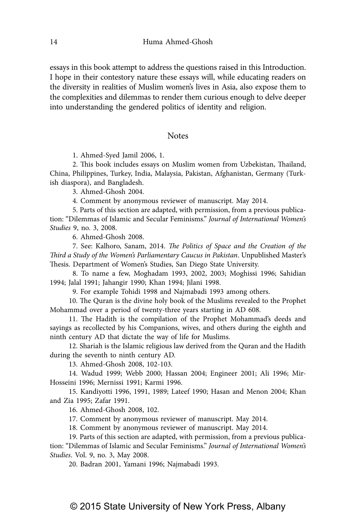essays in this book attempt to address the questions raised in this Introduction. I hope in their contestory nature these essays will, while educating readers on the diversity in realities of Muslim women's lives in Asia, also expose them to the complexities and dilemmas to render them curious enough to delve deeper into understanding the gendered politics of identity and religion.

## **Notes**

1. Ahmed-Syed Jamil 2006, 1.

 2. This book includes essays on Muslim women from Uzbekistan, Thailand, China, Philippines, Turkey, India, Malaysia, Pakistan, Afghanistan, Germany (Turkish diaspora), and Bangladesh.

3. Ahmed-Ghosh 2004.

4. Comment by anonymous reviewer of manuscript. May 2014.

 5. Parts of this section are adapted, with permission, from a previous publication: "Dilemmas of Islamic and Secular Feminisms." *Journal of International Women's Studies* 9, no. 3, 2008.

6. Ahmed-Ghosh 2008.

 7. See: Kalhoro, Sanam, 2014. *The Politics of Space and the Creation of the Third a Study of the Women's Parliamentary Caucus in Pakistan*. Unpublished Master's Thesis. Department of Women's Studies, San Diego State University.

 8. To name a few, Moghadam 1993, 2002, 2003; Moghissi 1996; Sahidian 1994; Jalal 1991; Jahangir 1990; Khan 1994; Jilani 1998.

9. For example Tohidi 1998 and Najmabadi 1993 among others.

10. The Quran is the divine holy book of the Muslims revealed to the Prophet Mohammad over a period of twenty-three years starting in AD 608.

11. The Hadith is the compilation of the Prophet Mohammad's deeds and sayings as recollected by his Companions, wives, and others during the eighth and ninth century AD that dictate the way of life for Muslims.

12. Shariah is the Islamic religious law derived from the Quran and the Hadith during the seventh to ninth century AD.

13. Ahmed-Ghosh 2008, 102-103.

14. Wadud 1999; Webb 2000; Hassan 2004; Engineer 2001; Ali 1996; Mir-Hosseini 1996; Mernissi 1991; Karmi 1996.

15. Kandiyotti 1996, 1991, 1989; Lateef 1990; Hasan and Menon 2004; Khan and Zia 1995; Zafar 1991.

16. Ahmed-Ghosh 2008, 102.

17. Comment by anonymous reviewer of manuscript. May 2014.

18. Comment by anonymous reviewer of manuscript. May 2014.

19. Parts of this section are adapted, with permission, from a previous publication: "Dilemmas of Islamic and Secular Feminisms." *Journal of International Women's Studies*. Vol. 9, no. 3, May 2008.

20. Badran 2001, Yamani 1996; Najmabadi 1993.

© 2015 State University of New York Press, Albany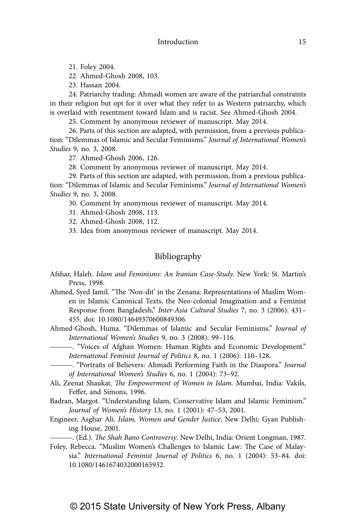21. Foley 2004.

22. Ahmed-Ghosh 2008, 103.

23. Hassan 2004.

24. Patriarchy trading: Ahmadi women are aware of the patriarchal constraints in their religion but opt for it over what they refer to as Western patriarchy, which is overlaid with resentment toward Islam and is racist. See Ahmed-Ghosh 2004.

25. Comment by anonymous reviewer of manuscript. May 2014.

26. Parts of this section are adapted, with permission, from a previous publication: "Dilemmas of Islamic and Secular Feminisms." *Journal of International Women's Studies* 9, no. 3, 2008.

27. Ahmed-Ghosh 2006, 126.

28. Comment by anonymous reviewer of manuscript. May 2014.

29. Parts of this section are adapted, with permission, from a previous publication: "Dilemmas of Islamic and Secular Feminisms." *Journal of International Women's Studies* 9, no. 3, 2008.

30. Comment by anonymous reviewer of manuscript. May 2014.

31. Ahmed-Ghosh 2008, 113.

32. Ahmed-Ghosh 2008, 112.

33. Idea from anonymous reviewer of manuscript. May 2014.

## Bibliography

Afshar, Haleh. *Islam and Feminisms: An Iranian Case-Study.* New York: St. Martin's Press, 1998.

Ahmed, Syed Jamil. "The 'Non-dit' in the Zenana: Representations of Muslim Women in Islamic Canonical Texts, the Neo-colonial Imagination and a Feminist Response from Bangladesh," *Inter-Asia Cultural Studies* 7, no. 3 (2006): 431– 455. doi: 10.1080/14649370600849306*.*

Ahmed-Ghosh, Huma. "Dilemmas of Islamic and Secular Feminisms." *Journal of International Women's Studies* 9, no. 3 (2008): 99–116.

———. "Voices of Afghan Women: Human Rights and Economic Development." *International Feminist Journal of Politics* 8, no. 1 (2006): 110–128.

———. "Portraits of Believers: Ahmadi Performing Faith in the Diaspora." *Journal of International Women's Studies* 6, no. 1 (2004): 73–92.

Ali, Zeenat Shaukat. *The Empowerment of Women in Islam.* Mumbai, India: Vakils, Feffer, and Simons, 1996.

Badran, Margot. "Understanding Islam, Conservative Islam and Islamic Feminism." *Journal of Women's History* 13, no. 1 (2001): 47–53, 2001.

Engineer, Asghar Ali. *Islam, Women and Gender Justice*. New Delhi: Gyan Publishing House, 2001.

———. (Ed.). *The Shah Bano Controversy*. New Delhi, India: Orient Longman, 1987.

Foley, Rebecca. "Muslim Women's Challenges to Islamic Law: The Case of Malaysia." *International Feminist Journal of Politics* 6, no. 1 (2004): 53–84. doi: 10.1080/1461674032000165932.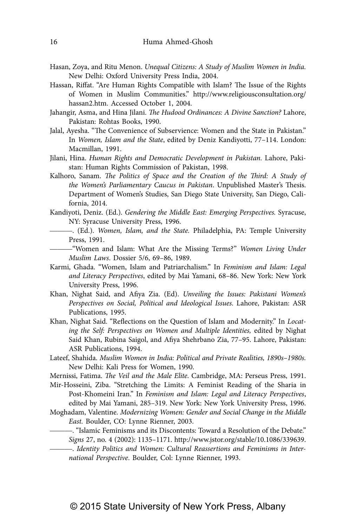- Hasan, Zoya, and Ritu Menon. *Unequal Citizens: A Study of Muslim Women in India.*  New Delhi: Oxford University Press India, 2004.
- Hassan, Riffat. "Are Human Rights Compatible with Islam? The Issue of the Rights of Women in Muslim Communities." http://www.religiousconsultation.org/ hassan2.htm. Accessed October 1, 2004.
- Jahangir, Asma, and Hina Jilani. *The Hudood Ordinances: A Divine Sanction?* Lahore, Pakistan: Rohtas Books, 1990.
- Jalal, Ayesha. "The Convenience of Subservience: Women and the State in Pakistan." In *Women, Islam and the State*, edited by Deniz Kandiyotti, 77–114. London: Macmillan, 1991.
- Jilani, Hina. *Human Rights and Democratic Development in Pakistan.* Lahore, Pakistan: Human Rights Commission of Pakistan, 1998.
- Kalhoro, Sanam. *The Politics of Space and the Creation of the Third: A Study of the Women's Parliamentary Caucus in Pakistan*. Unpublished Master's Thesis. Department of Women's Studies, San Diego State University, San Diego, California, 2014.
- Kandiyoti, Deniz. (Ed.). *Gendering the Middle East: Emerging Perspectives.* Syracuse, NY: Syracuse University Press, 1996.
	- ———. (Ed.). *Women, Islam, and the State.* Philadelphia, PA: Temple University Press, 1991.
		- ———"Women and Islam: What Are the Missing Terms?" *Women Living Under Muslim Laws*. Dossier 5/6, 69–86, 1989.
- Karmi, Ghada. "Women, Islam and Patriarchalism." In *Feminism and Islam: Legal and Literacy Perspectives*, edited by Mai Yamani, 68–86. New York: New York University Press, 1996.
- Khan, Nighat Said, and Afiya Zia. (Ed). *Unveiling the Issues: Pakistani Women's Perspectives on Social, Political and Ideological Issues*. Lahore, Pakistan: ASR Publications, 1995.
- Khan, Nighat Said. "Reflections on the Question of Islam and Modernity." In *Locating the Self: Perspectives on Women and Multiple Identities,* edited by Nighat Said Khan, Rubina Saigol, and Afiya Shehrbano Zia, 77–95. Lahore, Pakistan: ASR Publications, 1994.
- Lateef, Shahida. *Muslim Women in India: Political and Private Realities, 1890s–1980s.*  New Delhi: Kali Press for Women, 1990.
- Mernissi, Fatima. *The Veil and the Male Elite*. Cambridge, MA: Perseus Press, 1991.
- Mir-Hosseini, Ziba. "Stretching the Limits: A Feminist Reading of the Sharia in Post-Khomeini Iran." In *Feminism and Islam: Legal and Literacy Perspectives*, edited by Mai Yamani, 285–319. New York: New York University Press, 1996.
- Moghadam, Valentine. *Modernizing Women: Gender and Social Change in the Middle East.* Boulder, CO: Lynne Rienner, 2003.
	- ———. "Islamic Feminisms and its Discontents: Toward a Resolution of the Debate." *Signs* 27, no. 4 (2002): 1135–1171. http://www.jstor.org/stable/10.1086/339639.
		- ———. *Identity Politics and Women: Cultural Reassertions and Feminisms in International Perspective*. Boulder, Col: Lynne Rienner, 1993.